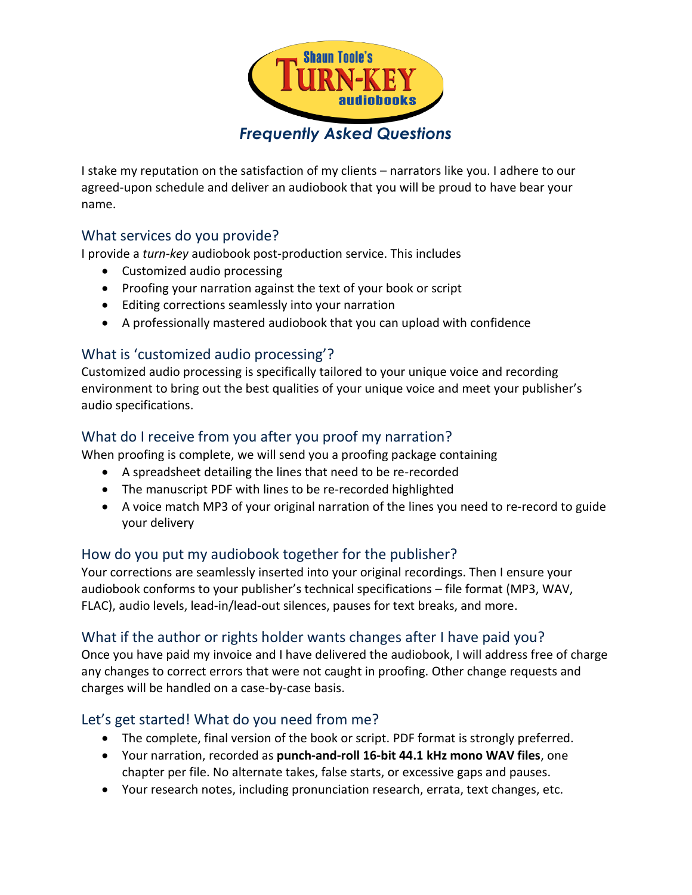

I stake my reputation on the satisfaction of my clients – narrators like you. I adhere to our agreed-upon schedule and deliver an audiobook that you will be proud to have bear your name.

### What services do you provide?

I provide a *turn-key* audiobook post-production service. This includes

- Customized audio processing
- Proofing your narration against the text of your book or script
- Editing corrections seamlessly into your narration
- A professionally mastered audiobook that you can upload with confidence

### What is 'customized audio processing'?

Customized audio processing is specifically tailored to your unique voice and recording environment to bring out the best qualities of your unique voice and meet your publisher's audio specifications.

# What do I receive from you after you proof my narration?

When proofing is complete, we will send you a proofing package containing

- A spreadsheet detailing the lines that need to be re-recorded
- The manuscript PDF with lines to be re-recorded highlighted
- A voice match MP3 of your original narration of the lines you need to re-record to guide your delivery

# How do you put my audiobook together for the publisher?

Your corrections are seamlessly inserted into your original recordings. Then I ensure your audiobook conforms to your publisher's technical specifications – file format (MP3, WAV, FLAC), audio levels, lead-in/lead-out silences, pauses for text breaks, and more.

### What if the author or rights holder wants changes after I have paid you?

Once you have paid my invoice and I have delivered the audiobook, I will address free of charge any changes to correct errors that were not caught in proofing. Other change requests and charges will be handled on a case-by-case basis.

# Let's get started! What do you need from me?

- The complete, final version of the book or script. PDF format is strongly preferred.
- Your narration, recorded as **punch-and-roll 16-bit 44.1 kHz mono WAV files**, one chapter per file. No alternate takes, false starts, or excessive gaps and pauses.
- Your research notes, including pronunciation research, errata, text changes, etc.